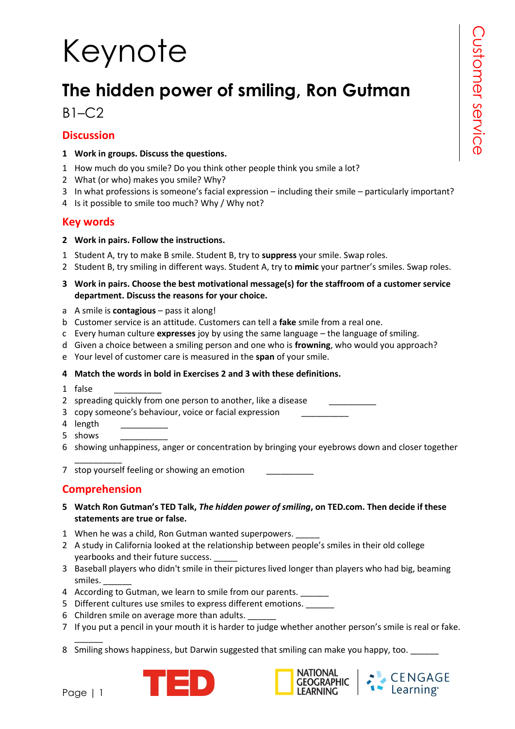# Keynote

## **The hidden power of smiling, Ron Gutman**

### $B1-C2$

### **Discussion**

- **1 Work in groups. Discuss the questions.**
- 1 How much do you smile? Do you think other people think you smile a lot?
- 2 What (or who) makes you smile? Why?
- 3 In what professions is someone's facial expression including their smile particularly important?
- 4 Is it possible to smile too much? Why / Why not?

### **Key words**

- **2 Work in pairs. Follow the instructions.**
- 1 Student A, try to make B smile. Student B, try to **suppress** your smile. Swap roles.
- 2 Student B, try smiling in different ways. Student A, try to **mimic** your partner's smiles. Swap roles.
- **3 Work in pairs. Choose the best motivational message(s) for the staffroom of a customer service department. Discuss the reasons for your choice.**
- a A smile is **contagious** pass it along!
- b Customer service is an attitude. Customers can tell a **fake** smile from a real one.
- c Every human culture **expresses** joy by using the same language the language of smiling.
- d Given a choice between a smiling person and one who is **frowning**, who would you approach?
- e Your level of customer care is measured in the **span** of your smile.

#### **4 Match the words in bold in Exercises 2 and 3 with these definitions.**

1 false \_\_\_\_\_\_\_\_\_\_

2 spreading quickly from one person to another, like a disease

3 copy someone's behaviour, voice or facial expression \_\_\_\_\_\_\_\_\_\_

- 4 length
- 5 shows \_\_\_\_\_\_\_\_\_\_
- 6 showing unhappiness, anger or concentration by bringing your eyebrows down and closer together

7 stop yourself feeling or showing an emotion

### **Comprehension**

\_\_\_\_\_\_\_\_\_\_

- **5 Watch Ron Gutman's TED Talk,** *The hidden power of smiling***, on TED.com. Then decide if these statements are true or false.**
- 1 When he was a child, Ron Gutman wanted superpowers.
- 2 A study in California looked at the relationship between people's smiles in their old college yearbooks and their future success.
- 3 Baseball players who didn't smile in their pictures lived longer than players who had big, beaming smiles. \_\_\_\_\_\_
- 4 According to Gutman, we learn to smile from our parents.
- 5 Different cultures use smiles to express different emotions.
- 6 Children smile on average more than adults.
- 7 If you put a pencil in your mouth it is harder to judge whether another person's smile is real or fake.
- 8 Smiling shows happiness, but Darwin suggested that smiling can make you happy, too.







 $\overline{\phantom{a}}$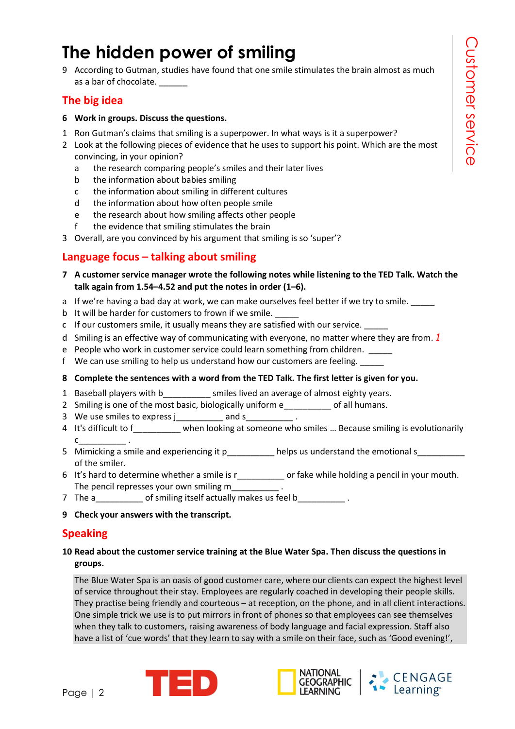### **The hidden power of smiling**

9 According to Gutman, studies have found that one smile stimulates the brain almost as much as a bar of chocolate.

### **The big idea**

- **6 Work in groups. Discuss the questions.**
- 1 Ron Gutman's claims that smiling is a superpower. In what ways is it a superpower?
- 2 Look at the following pieces of evidence that he uses to support his point. Which are the most convincing, in your opinion?
	- a the research comparing people's smiles and their later lives
	- b the information about babies smiling
	- c the information about smiling in different cultures
	- d the information about how often people smile
	- e the research about how smiling affects other people
	- f the evidence that smiling stimulates the brain
- 3 Overall, are you convinced by his argument that smiling is so 'super'?

### **Language focus – talking about smiling**

- **7 A customer service manager wrote the following notes while listening to the TED Talk. Watch the talk again from 1.54–4.52 and put the notes in order (1–6).**
- a If we're having a bad day at work, we can make ourselves feel better if we try to smile.
- b It will be harder for customers to frown if we smile.
- c If our customers smile, it usually means they are satisfied with our service. \_\_\_\_\_
- d Smiling is an effective way of communicating with everyone, no matter where they are from. *1*
- e People who work in customer service could learn something from children. \_\_\_\_\_
- f We can use smiling to help us understand how our customers are feeling. \_\_\_\_\_
- **8 Complete the sentences with a word from the TED Talk. The first letter is given for you.**
- 1 Baseball players with b\_\_\_\_\_\_\_\_\_\_ smiles lived an average of almost eighty years.
- 2 Smiling is one of the most basic, biologically uniform e of all humans.
- 3 We use smiles to express jet and s to the smiles to express jet and set of  $\sim$
- 4 It's difficult to f\_\_\_\_\_\_\_\_\_\_ when looking at someone who smiles ... Because smiling is evolutionarily  $c_{\perp}$
- 5 Mimicking a smile and experiencing it p electronic helps us understand the emotional s of the smiler.
- 6 It's hard to determine whether a smile is r\_\_\_\_\_\_\_\_\_\_ or fake while holding a pencil in your mouth. The pencil represses your own smiling m\_\_\_\_\_\_\_\_\_\_\_\_.
- 7 The a \_\_\_\_\_\_\_\_ of smiling itself actually makes us feel b\_\_\_\_\_\_\_\_\_\_\_.
- **9 Check your answers with the transcript.**

### **Speaking**

#### **10 Read about the customer service training at the Blue Water Spa. Then discuss the questions in groups.**

The Blue Water Spa is an oasis of good customer care, where our clients can expect the highest level of service throughout their stay. Employees are regularly coached in developing their people skills. They practise being friendly and courteous – at reception, on the phone, and in all client interactions. One simple trick we use is to put mirrors in front of phones so that employees can see themselves when they talk to customers, raising awareness of body language and facial expression. Staff also have a list of 'cue words' that they learn to say with a smile on their face, such as 'Good evening!',